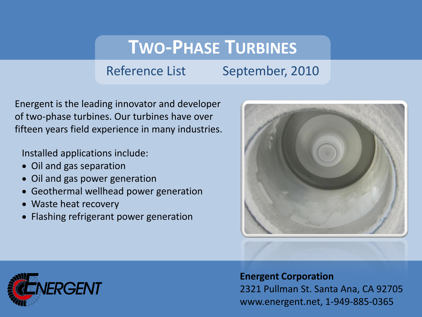## **TWO-PHASE TURBINES**

## Reference List September, 2010

Energent is the leading innovator and developer of two-phase turbines. Our turbines have over fifteen years field experience in many industries.

Installed applications include:

- Oil and gas separation
- Oil and gas power generation
- Geothermal wellhead power generation
- Waste heat recovery
- Flashing refrigerant power generation





**Energent Corporation** 2321 Pullman St. Santa Ana, CA 92705 www.energent.net, 1-949-885-0365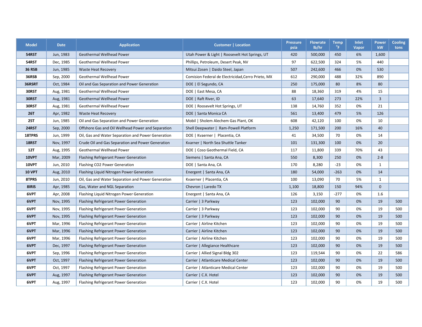| <b>Model</b>  | <b>Date</b> | <b>Application</b>                                 | <b>Customer   Location</b>                         | <b>Pressure</b><br>psia | <b>Flowrate</b><br>lb/hr | <b>Temp</b><br>$^{\circ}$ F | Inlet<br>Vapor | <b>Power</b><br>kW | <b>Cooling</b><br>tons |
|---------------|-------------|----------------------------------------------------|----------------------------------------------------|-------------------------|--------------------------|-----------------------------|----------------|--------------------|------------------------|
| 54RST         | Jun, 1983   | <b>Geothermal Wellhead Power</b>                   | Utah Power & Light   Roosevelt Hot Springs, UT     | 420                     | 500,000                  | 450                         | 6%             | 1,600              |                        |
| 54RST         | Dec, 1985   | Geothermal Wellhead Power                          | Phillips, Petroleum, Desert Peak, NV               | 97                      | 622,500                  | 324                         | 5%             | 440                |                        |
| <b>36 RSB</b> | Jun, 1985   | <b>Waste Heat Recovery</b>                         | Mitsui Zosen   Daido Steel, Japan                  | 507                     | 242,600                  | 466                         | 0%             | 530                |                        |
| 36RSB         | Sep, 2000   | Geothermal Wellhead Power                          | Comision Federal de Electricidad, Cerro Prieto, MX | 612                     | 290,000                  | 488                         | 32%            | 890                |                        |
| 36RSRT        | Oct, 1984   | Oil and Gas Separation and Power Generation        | DOE   El Segundo, CA                               | 250                     | 175,000                  | 80                          | 8%             | 80                 |                        |
| 30RST         | Aug, 1981   | Geothermal Wellhead Power                          | DOE   East Mesa, CA                                | 88                      | 18,360                   | 319                         | 4%             | 15                 |                        |
| 30RST         | Aug, 1981   | Geothermal Wellhead Power                          | DOE   Raft River, ID                               | 63                      | 17,640                   | 273                         | 22%            | $\overline{3}$     |                        |
| 30RST         | Aug, 1981   | Geothermal Wellhead Power                          | DOE   Roosevelt Hot Springs, UT                    | 138                     | 14,760                   | 352                         | 0%             | 21                 |                        |
| <b>26T</b>    | Apr, 1982   | <b>Waste Heat Recovery</b>                         | DOE   Santa Monica CA                              | 561                     | 13,400                   | 479                         | 5%             | 126                |                        |
| <b>25T</b>    | Jun, 1985   | Oil and Gas Separation and Power Generation        | Mobil   Sholem Alechem Gas Plant, OK               | 608                     | 42,120                   | 100                         | 0%             | 10                 |                        |
| 24RST         | Sep, 2000   | Offshore Gas and Oil Wellhead Power and Separation | Shell Deepwater   Ram-Powell Platform              | 1,250                   | 171,500                  | 200                         | 16%            | 40                 |                        |
| 18TPRS        | Jun, 1999   | Oil, Gas and Water Separation and Power Generation | DOE   Kvaerner   Placentia, CA                     | 41                      | 34,500                   | 70                          | 0%             | 14                 |                        |
| 18RST         | Nov, 1997   | Crude Oil and Gas Separation and Power Generation  | Kvarner   North Sea Shuttle Tanker                 | 101                     | 131,300                  | 100                         | 0%             | 20                 |                        |
| 12T           | Aug, 1995   | Geothermal Wellhead Power                          | DOE   Coso Geothermal Field, CA                    | 117                     | 11,800                   | 339                         | 70%            | 43                 |                        |
| 10VPT         | Mar, 2009   | Flashing Refrigerant Power Generation              | Siemens   Santa Ana, CA                            | 550                     | 8,300                    | 250                         | 0%             | $2 - 8$            |                        |
| 10VPT         | Jun, 2010   | Flashing CO2 Power Generation                      | DOE   Santa Ana, CA                                | 170                     | 8,280                    | $-23$                       | 0%             | $\mathbf{1}$       |                        |
| <b>10 VPT</b> | Aug, 2010   | Flashing Liquid Nitrogen Power Generation          | Energent   Santa Ana, CA                           | 180                     | 54,000                   | $-263$                      | 0%             | 14                 |                        |
| 8TPRS         | Jun, 2010   | Oil, Gas and Water Separation and Power Generation | Kvaerner   Placentia, CA                           | 100                     | 13,090                   | 70                          | 5%             | $\mathbf{1}$       |                        |
| 8IRIS         | Apr, 1985   | Gas, Water and NGL Separation                      | Chevron   Laredo TX                                | 1,100                   | 18,800                   | 150                         | 94%            | $\mathbf{0}$       |                        |
| 6VPT          | Apr, 2008   | Flashing Liquid Nitrogen Power Generation          | Energent   Santa Ana, CA                           | 126                     | 3,150                    | $-277$                      | 0%             | 1.6                |                        |
| 6VPT          | Nov, 1995   | Flashing Refrigerant Power Generation              | Carrier   3 Parkway                                | 123                     | 102,000                  | 90                          | 0%             | 19                 | 500                    |
| 6VPT          | Nov, 1995   | Flashing Refrigerant Power Generation              | Carrier   3 Parkway                                | 123                     | 102,000                  | 90                          | 0%             | 19                 | 500                    |
| 6VPT          | Nov, 1995   | Flashing Refrigerant Power Generation              | Carrier   3 Parkway                                | 123                     | 102,000                  | 90                          | 0%             | 19                 | 500                    |
| 6VPT          | Mar, 1996   | <b>Flashing Refrigerant Power Generation</b>       | Carrier   Airline Kitchen                          | 123                     | 102,000                  | 90                          | 0%             | 19                 | 500                    |
| 6VPT          | Mar, 1996   | Flashing Refrigerant Power Generation              | Carrier   Airline Kitchen                          | 123                     | 102,000                  | 90                          | 0%             | 19                 | 500                    |
| 6VPT          | Mar, 1996   | Flashing Refrigerant Power Generation              | Carrier   Airline Kitchen                          | 123                     | 102,000                  | 90                          | 0%             | 19                 | 500                    |
| 6VPT          | Dec, 1997   | Flashing Refrigerant Power Generation              | Carrier   Allegiance Healthcare                    | 123                     | 102,000                  | 90                          | 0%             | 19                 | 500                    |
| 6VPT          | Sep, 1996   | Flashing Refrigerant Power Generation              | Carrier   Allied Signal Bldg 302                   | 123                     | 119,544                  | 90                          | 0%             | 22                 | 586                    |
| 6VPT          | Oct, 1997   | Flashing Refrigerant Power Generation              | Carrier   Atlanticare Medical Center               | 123                     | 102,000                  | 90                          | 0%             | 19                 | 500                    |
| 6VPT          | Oct, 1997   | Flashing Refrigerant Power Generation              | Carrier   Atlanticare Medical Center               | 123                     | 102,000                  | 90                          | 0%             | 19                 | 500                    |
| 6VPT          | Aug, 1997   | Flashing Refrigerant Power Generation              | Carrier   C.X. Hotel                               | 123                     | 102,000                  | 90                          | 0%             | 19                 | 500                    |
| 6VPT          | Aug, 1997   | Flashing Refrigerant Power Generation              | Carrier   C.X. Hotel                               | 123                     | 102,000                  | 90                          | 0%             | 19                 | 500                    |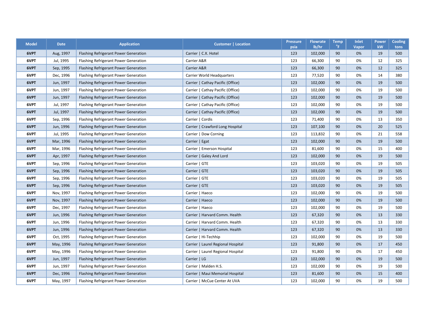| <b>Model</b> | <b>Date</b> | <b>Application</b>                    | Customer   Location                | <b>Pressure</b><br>psia | <b>Flowrate</b><br>lb/hr | Temp<br>$^{\circ}$ F | Inlet<br>Vapor | <b>Power</b><br>kW | <b>Cooling</b><br>tons |
|--------------|-------------|---------------------------------------|------------------------------------|-------------------------|--------------------------|----------------------|----------------|--------------------|------------------------|
| 6VPT         | Aug, 1997   | Flashing Refrigerant Power Generation | Carrier   C.X. Hotel               | 123                     | 102,000                  | 90                   | 0%             | 19                 | 500                    |
| 6VPT         | Jul, 1995   | Flashing Refrigerant Power Generation | Carrier A&R                        | 123                     | 66,300                   | 90                   | 0%             | 12                 | 325                    |
| 6VPT         | Sep, 1995   | Flashing Refrigerant Power Generation | Carrier A&R                        | 123                     | 66,300                   | 90                   | 0%             | 12                 | 325                    |
| 6VPT         | Dec, 1996   | Flashing Refrigerant Power Generation | Carrier World Headquarters         | 123                     | 77,520                   | 90                   | 0%             | 14                 | 380                    |
| 6VPT         | Jun, 1997   | Flashing Refrigerant Power Generation | Carrier   Cathay Pacific (Office)  | 123                     | 102,000                  | 90                   | 0%             | 19                 | 500                    |
| 6VPT         | Jun, 1997   | Flashing Refrigerant Power Generation | Carrier   Cathay Pacific (Office)  | 123                     | 102,000                  | 90                   | 0%             | 19                 | 500                    |
| 6VPT         | Jun, 1997   | Flashing Refrigerant Power Generation | Carrier   Cathay Pacific (Office)  | 123                     | 102,000                  | 90                   | 0%             | 19                 | 500                    |
| 6VPT         | Jul, 1997   | Flashing Refrigerant Power Generation | Carrier   Cathay Pacific (Office)  | 123                     | 102,000                  | 90                   | 0%             | 19                 | 500                    |
| 6VPT         | Jul, 1997   | Flashing Refrigerant Power Generation | Carrier   Cathay Pacific (Office)  | 123                     | 102,000                  | 90                   | 0%             | 19                 | 500                    |
| 6VPT         | Sep, 1996   | Flashing Refrigerant Power Generation | Carrier   Cordis                   | 123                     | 71,400                   | 90                   | 0%             | 13                 | 350                    |
| 6VPT         | Jun, 1996   | Flashing Refrigerant Power Generation | Carrier   Crawford Long Hospital   | 123                     | 107,100                  | 90                   | 0%             | 20                 | 525                    |
| 6VPT         | Jul, 1995   | Flashing Refrigerant Power Generation | Carrier   Dow Corning              | 123                     | 113,832                  | 90                   | 0%             | 21                 | 558                    |
| 6VPT         | Mar, 1996   | Flashing Refrigerant Power Generation | Carrier   Egat                     | 123                     | 102,000                  | 90                   | 0%             | 19                 | 500                    |
| 6VPT         | Mar, 1996   | Flashing Refrigerant Power Generation | Carrier   Emerson Hospital         | 123                     | 81,600                   | 90                   | 0%             | 15                 | 400                    |
| 6VPT         | Apr, 1997   | Flashing Refrigerant Power Generation | Carrier   Galey And Lord           | 123                     | 102,000                  | 90                   | 0%             | 19                 | 500                    |
| 6VPT         | Sep, 1996   | Flashing Refrigerant Power Generation | $Carrier$   GTE                    | 123                     | 103,020                  | 90                   | 0%             | 19                 | 505                    |
| 6VPT         | Sep, 1996   | Flashing Refrigerant Power Generation | Carrier   GTE                      | 123                     | 103,020                  | 90                   | 0%             | 19                 | 505                    |
| 6VPT         | Sep, 1996   | Flashing Refrigerant Power Generation | Carrier   GTE                      | 123                     | 103,020                  | 90                   | 0%             | 19                 | 505                    |
| 6VPT         | Sep, 1996   | Flashing Refrigerant Power Generation | Carrier   GTE                      | 123                     | 103,020                  | 90                   | 0%             | 19                 | 505                    |
| 6VPT         | Nov, 1997   | Flashing Refrigerant Power Generation | Carrier   Haeco                    | 123                     | 102,000                  | 90                   | 0%             | 19                 | 500                    |
| 6VPT         | Nov, 1997   | Flashing Refrigerant Power Generation | Carrier   Haeco                    | 123                     | 102,000                  | 90                   | 0%             | 19                 | 500                    |
| 6VPT         | Dec, 1997   | Flashing Refrigerant Power Generation | Carrier   Haeco                    | 123                     | 102,000                  | 90                   | 0%             | 19                 | 500                    |
| 6VPT         | Jun, 1996   | Flashing Refrigerant Power Generation | Carrier   Harvard Comm. Health     | 123                     | 67,320                   | 90                   | 0%             | 13                 | 330                    |
| 6VPT         | Jun, 1996   | Flashing Refrigerant Power Generation | Carrier   Harvard Comm. Health     | 123                     | 67,320                   | 90                   | 0%             | 13                 | 330                    |
| 6VPT         | Jun, 1996   | Flashing Refrigerant Power Generation | Carrier   Harvard Comm. Health     | 123                     | 67,320                   | 90                   | 0%             | 13                 | 330                    |
| 6VPT         | Oct, 1995   | Flashing Refrigerant Power Generation | Carrier   Hi-Techhip               | 123                     | 102,000                  | 90                   | 0%             | 19                 | 500                    |
| 6VPT         | May, 1996   | Flashing Refrigerant Power Generation | Carrier   Laurel Regional Hospital | 123                     | 91,800                   | 90                   | 0%             | 17                 | 450                    |
| 6VPT         | May, 1996   | Flashing Refrigerant Power Generation | Carrier   Laurel Regional Hospital | 123                     | 91,800                   | 90                   | 0%             | 17                 | 450                    |
| 6VPT         | Jun, 1997   | Flashing Refrigerant Power Generation | Carrier $  LG$                     | 123                     | 102,000                  | 90                   | 0%             | 19                 | 500                    |
| 6VPT         | Jun, 1997   | Flashing Refrigerant Power Generation | Carrier   Malden H.S.              | 123                     | 102,000                  | 90                   | 0%             | 19                 | 500                    |
| 6VPT         | Dec, 1996   | Flashing Refrigerant Power Generation | Carrier   Maui Memorial Hospital   | 123                     | 81,600                   | 90                   | 0%             | 15                 | 400                    |
| 6VPT         | May, 1997   | Flashing Refrigerant Power Generation | Carrier   McCue Center At UVA      | 123                     | 102,000                  | 90                   | 0%             | 19                 | 500                    |